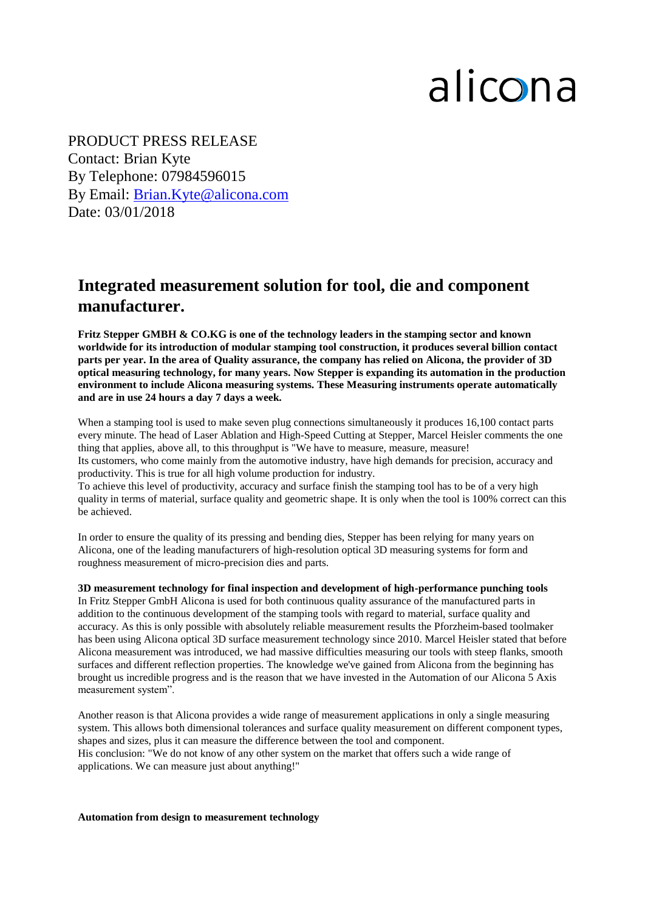## alicona

3 Contact: Brian Kyte 5 By Telephone: 07984596015  $\frac{1}{\tau}$ By Email: <u>Brian.Kyte@alicona.com</u> PRODUCT PRESS RELEASE Date: 03/01/2018

## **Integrated measurement solution for tool, die and component manufacturer.**

**Fritz Stepper GMBH & CO.KG is one of the technology leaders in the stamping sector and known worldwide for its introduction of modular stamping tool construction, it produces several billion contact parts per year. In the area of Quality assurance, the company has relied on Alicona, the provider of 3D optical measuring technology, for many years. Now Stepper is expanding its automation in the production environment to include Alicona measuring systems. These Measuring instruments operate automatically and are in use 24 hours a day 7 days a week.**

When a stamping tool is used to make seven plug connections simultaneously it produces 16,100 contact parts every minute. The head of Laser Ablation and High-Speed Cutting at Stepper, Marcel Heisler comments the one thing that applies, above all, to this throughput is "We have to measure, measure, measure! Its customers, who come mainly from the automotive industry, have high demands for precision, accuracy and productivity. This is true for all high volume production for industry.

To achieve this level of productivity, accuracy and surface finish the stamping tool has to be of a very high quality in terms of material, surface quality and geometric shape. It is only when the tool is 100% correct can this be achieved.

In order to ensure the quality of its pressing and bending dies, Stepper has been relying for many years on Alicona, one of the leading manufacturers of high-resolution optical 3D measuring systems for form and roughness measurement of micro-precision dies and parts.

**3D measurement technology for final inspection and development of high-performance punching tools** In Fritz Stepper GmbH Alicona is used for both continuous quality assurance of the manufactured parts in addition to the continuous development of the stamping tools with regard to material, surface quality and accuracy. As this is only possible with absolutely reliable measurement results the Pforzheim-based toolmaker has been using Alicona optical 3D surface measurement technology since 2010. Marcel Heisler stated that before Alicona measurement was introduced, we had massive difficulties measuring our tools with steep flanks, smooth surfaces and different reflection properties. The knowledge we've gained from Alicona from the beginning has brought us incredible progress and is the reason that we have invested in the Automation of our Alicona 5 Axis measurement system".

Another reason is that Alicona provides a wide range of measurement applications in only a single measuring system. This allows both dimensional tolerances and surface quality measurement on different component types, shapes and sizes, plus it can measure the difference between the tool and component. His conclusion: "We do not know of any other system on the market that offers such a wide range of applications. We can measure just about anything!"

**Automation from design to measurement technology**